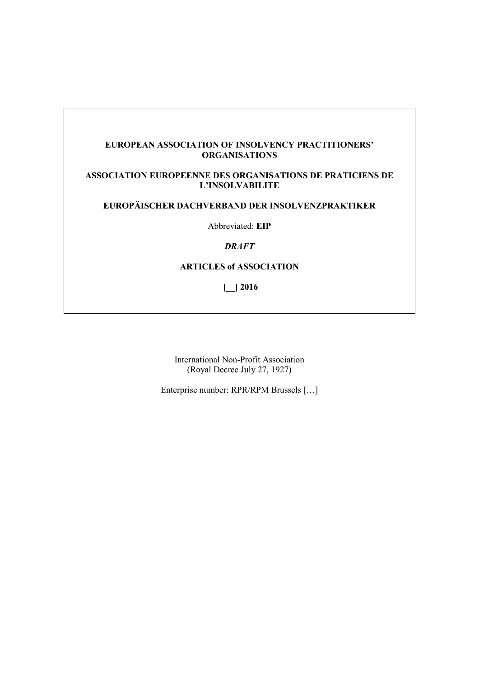### **EUROPEAN ASSOCIATION OF INSOLVENCY PRACTITIONERS' ORGANISATIONS**

# **ASSOCIATION EUROPEENNE DES ORGANISATIONS DE PRATICIENS DE L'INSOLVABILITE**

# **EUROPÄISCHER DACHVERBAND DER INSOLVENZPRAKTIKER**

Abbreviated: **EIP**

### *DRAFT*

### **ARTICLES of ASSOCIATION**

**[\_\_] 2016**

International Non-Profit Association (Royal Decree July 27, 1927)

Enterprise number: RPR/RPM Brussels […]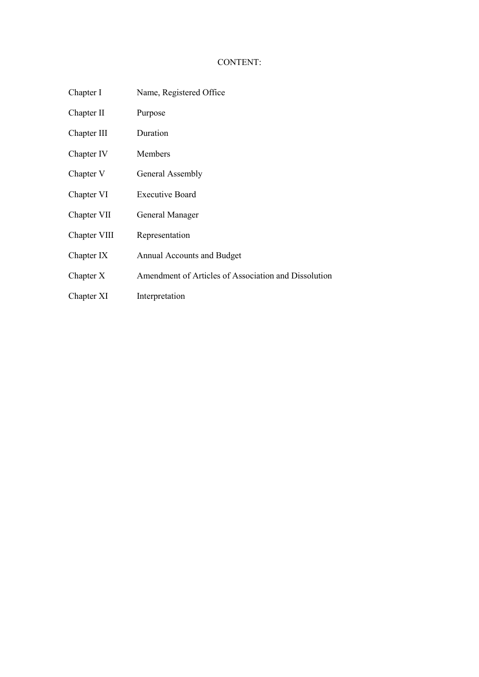# CONTENT:

- Chapter I Name, Registered Office
- Chapter II Purpose
- Chapter III Duration
- Chapter IV Members
- Chapter V General Assembly
- Chapter VI Executive Board
- Chapter VII General Manager
- Chapter VIII Representation
- Chapter IX Annual Accounts and Budget
- Chapter X Amendment of Articles of Association and Dissolution
- Chapter XI Interpretation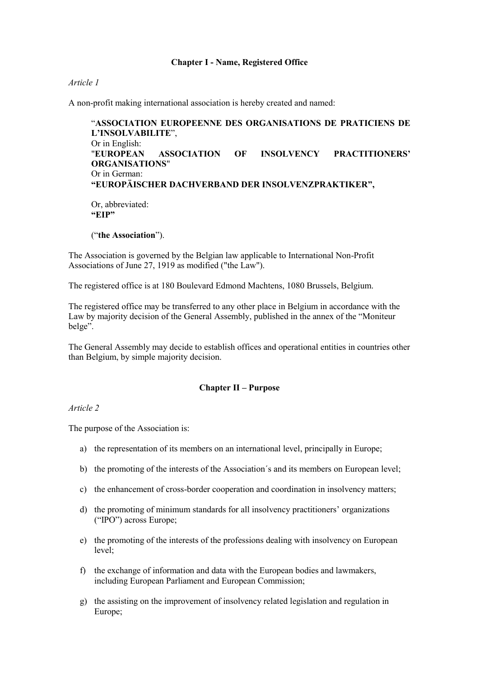### **Chapter I - Name, Registered Office**

#### *Article 1*

A non-profit making international association is hereby created and named:

"**ASSOCIATION EUROPEENNE DES ORGANISATIONS DE PRATICIENS DE L'INSOLVABILITE**", Or in English: "**EUROPEAN ASSOCIATION OF INSOLVENCY PRACTITIONERS' ORGANISATIONS**" Or in German: **"EUROPÄISCHER DACHVERBAND DER INSOLVENZPRAKTIKER",** Or, abbreviated: **"EIP"**

("**the Association**").

The Association is governed by the Belgian law applicable to International Non-Profit Associations of June 27, 1919 as modified ("the Law").

The registered office is at 180 Boulevard Edmond Machtens, 1080 Brussels, Belgium.

The registered office may be transferred to any other place in Belgium in accordance with the Law by majority decision of the General Assembly, published in the annex of the "Moniteur belge".

The General Assembly may decide to establish offices and operational entities in countries other than Belgium, by simple majority decision.

#### **Chapter II – Purpose**

*Article 2*

The purpose of the Association is:

- a) the representation of its members on an international level, principally in Europe;
- b) the promoting of the interests of the Association´s and its members on European level;
- c) the enhancement of cross-border cooperation and coordination in insolvency matters;
- d) the promoting of minimum standards for all insolvency practitioners' organizations ("IPO") across Europe;
- e) the promoting of the interests of the professions dealing with insolvency on European level;
- f) the exchange of information and data with the European bodies and lawmakers, including European Parliament and European Commission;
- g) the assisting on the improvement of insolvency related legislation and regulation in Europe;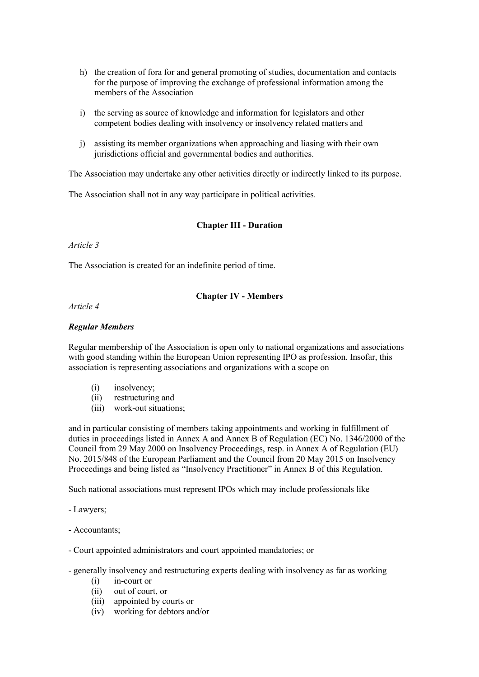- h) the creation of fora for and general promoting of studies, documentation and contacts for the purpose of improving the exchange of professional information among the members of the Association
- i) the serving as source of knowledge and information for legislators and other competent bodies dealing with insolvency or insolvency related matters and
- j) assisting its member organizations when approaching and liasing with their own jurisdictions official and governmental bodies and authorities.

The Association may undertake any other activities directly or indirectly linked to its purpose.

The Association shall not in any way participate in political activities.

# **Chapter III - Duration**

### *Article 3*

The Association is created for an indefinite period of time.

# **Chapter IV - Members**

# *Article 4*

# *Regular Members*

Regular membership of the Association is open only to national organizations and associations with good standing within the European Union representing IPO as profession. Insofar, this association is representing associations and organizations with a scope on

- (i) insolvency;
- (ii) restructuring and
- (iii) work-out situations;

and in particular consisting of members taking appointments and working in fulfillment of duties in proceedings listed in Annex A and Annex B of Regulation (EC) No. 1346/2000 of the Council from 29 May 2000 on Insolvency Proceedings, resp. in Annex A of Regulation (EU) No. 2015/848 of the European Parliament and the Council from 20 May 2015 on Insolvency Proceedings and being listed as "Insolvency Practitioner" in Annex B of this Regulation.

Such national associations must represent IPOs which may include professionals like

- Lawyers;

- Accountants;
- Court appointed administrators and court appointed mandatories; or
- generally insolvency and restructuring experts dealing with insolvency as far as working
	- (i) in-court or
	- (ii) out of court, or
	- (iii) appointed by courts or
	- (iv) working for debtors and/or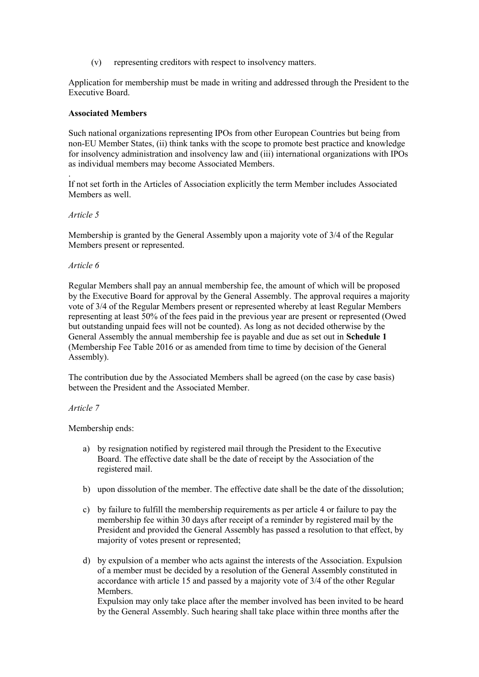(v) representing creditors with respect to insolvency matters.

Application for membership must be made in writing and addressed through the President to the Executive Board.

### **Associated Members**

Such national organizations representing IPOs from other European Countries but being from non-EU Member States, (ii) think tanks with the scope to promote best practice and knowledge for insolvency administration and insolvency law and (iii) international organizations with IPOs as individual members may become Associated Members.

. If not set forth in the Articles of Association explicitly the term Member includes Associated Members as well.

### *Article 5*

Membership is granted by the General Assembly upon a majority vote of 3/4 of the Regular Members present or represented.

### *Article 6*

Regular Members shall pay an annual membership fee, the amount of which will be proposed by the Executive Board for approval by the General Assembly. The approval requires a majority vote of 3/4 of the Regular Members present or represented whereby at least Regular Members representing at least 50% of the fees paid in the previous year are present or represented (Owed but outstanding unpaid fees will not be counted). As long as not decided otherwise by the General Assembly the annual membership fee is payable and due as set out in **Schedule 1**  (Membership Fee Table 2016 or as amended from time to time by decision of the General Assembly).

The contribution due by the Associated Members shall be agreed (on the case by case basis) between the President and the Associated Member.

### *Article 7*

Membership ends:

- a) by resignation notified by registered mail through the President to the Executive Board. The effective date shall be the date of receipt by the Association of the registered mail.
- b) upon dissolution of the member. The effective date shall be the date of the dissolution;
- c) by failure to fulfill the membership requirements as per article 4 or failure to pay the membership fee within 30 days after receipt of a reminder by registered mail by the President and provided the General Assembly has passed a resolution to that effect, by majority of votes present or represented;
- d) by expulsion of a member who acts against the interests of the Association. Expulsion of a member must be decided by a resolution of the General Assembly constituted in accordance with article 15 and passed by a majority vote of 3/4 of the other Regular Members. Expulsion may only take place after the member involved has been invited to be heard by the General Assembly. Such hearing shall take place within three months after the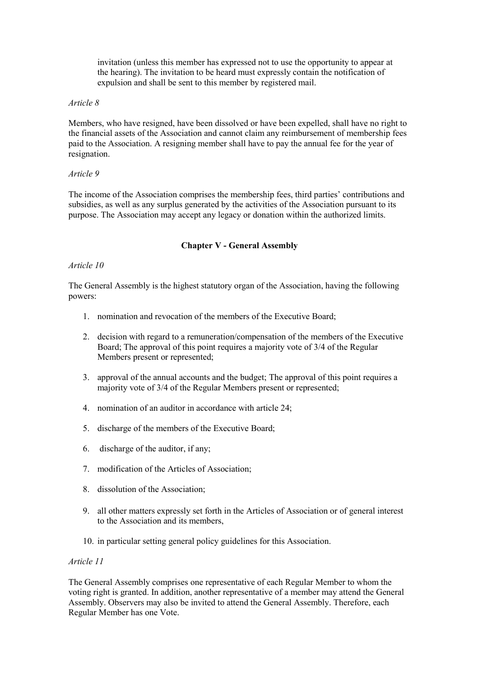invitation (unless this member has expressed not to use the opportunity to appear at the hearing). The invitation to be heard must expressly contain the notification of expulsion and shall be sent to this member by registered mail.

### *Article 8*

Members, who have resigned, have been dissolved or have been expelled, shall have no right to the financial assets of the Association and cannot claim any reimbursement of membership fees paid to the Association. A resigning member shall have to pay the annual fee for the year of resignation.

### *Article 9*

The income of the Association comprises the membership fees, third parties' contributions and subsidies, as well as any surplus generated by the activities of the Association pursuant to its purpose. The Association may accept any legacy or donation within the authorized limits.

### **Chapter V - General Assembly**

### *Article 10*

The General Assembly is the highest statutory organ of the Association, having the following powers:

- 1. nomination and revocation of the members of the Executive Board;
- 2. decision with regard to a remuneration/compensation of the members of the Executive Board; The approval of this point requires a majority vote of 3/4 of the Regular Members present or represented:
- 3. approval of the annual accounts and the budget; The approval of this point requires a majority vote of 3/4 of the Regular Members present or represented;
- 4. nomination of an auditor in accordance with article 24;
- 5. discharge of the members of the Executive Board;
- 6. discharge of the auditor, if any;
- 7. modification of the Articles of Association;
- 8. dissolution of the Association;
- 9. all other matters expressly set forth in the Articles of Association or of general interest to the Association and its members,
- 10. in particular setting general policy guidelines for this Association.

### *Article 11*

The General Assembly comprises one representative of each Regular Member to whom the voting right is granted. In addition, another representative of a member may attend the General Assembly. Observers may also be invited to attend the General Assembly. Therefore, each Regular Member has one Vote.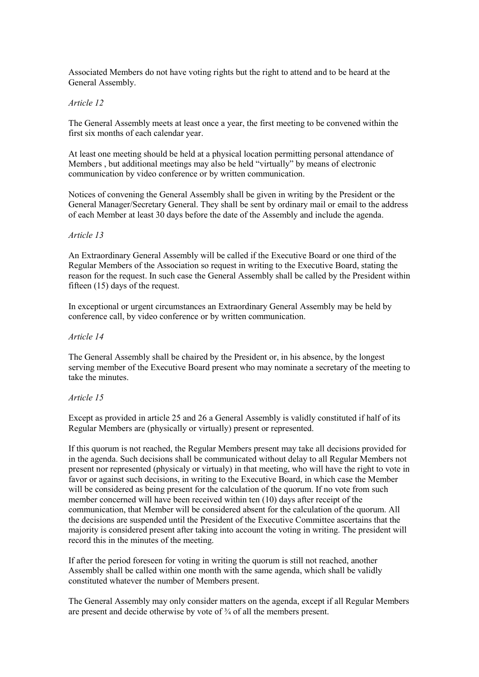Associated Members do not have voting rights but the right to attend and to be heard at the General Assembly.

#### *Article 12*

The General Assembly meets at least once a year, the first meeting to be convened within the first six months of each calendar year.

At least one meeting should be held at a physical location permitting personal attendance of Members , but additional meetings may also be held "virtually" by means of electronic communication by video conference or by written communication.

Notices of convening the General Assembly shall be given in writing by the President or the General Manager/Secretary General. They shall be sent by ordinary mail or email to the address of each Member at least 30 days before the date of the Assembly and include the agenda.

### *Article 13*

An Extraordinary General Assembly will be called if the Executive Board or one third of the Regular Members of the Association so request in writing to the Executive Board, stating the reason for the request. In such case the General Assembly shall be called by the President within fifteen (15) days of the request.

In exceptional or urgent circumstances an Extraordinary General Assembly may be held by conference call, by video conference or by written communication.

#### *Article 14*

The General Assembly shall be chaired by the President or, in his absence, by the longest serving member of the Executive Board present who may nominate a secretary of the meeting to take the minutes.

### *Article 15*

Except as provided in article 25 and 26 a General Assembly is validly constituted if half of its Regular Members are (physically or virtually) present or represented.

If this quorum is not reached, the Regular Members present may take all decisions provided for in the agenda. Such decisions shall be communicated without delay to all Regular Members not present nor represented (physicaly or virtualy) in that meeting, who will have the right to vote in favor or against such decisions, in writing to the Executive Board, in which case the Member will be considered as being present for the calculation of the quorum. If no vote from such member concerned will have been received within ten (10) days after receipt of the communication, that Member will be considered absent for the calculation of the quorum. All the decisions are suspended until the President of the Executive Committee ascertains that the majority is considered present after taking into account the voting in writing. The president will record this in the minutes of the meeting.

If after the period foreseen for voting in writing the quorum is still not reached, another Assembly shall be called within one month with the same agenda, which shall be validly constituted whatever the number of Members present.

The General Assembly may only consider matters on the agenda, except if all Regular Members are present and decide otherwise by vote of ¾ of all the members present.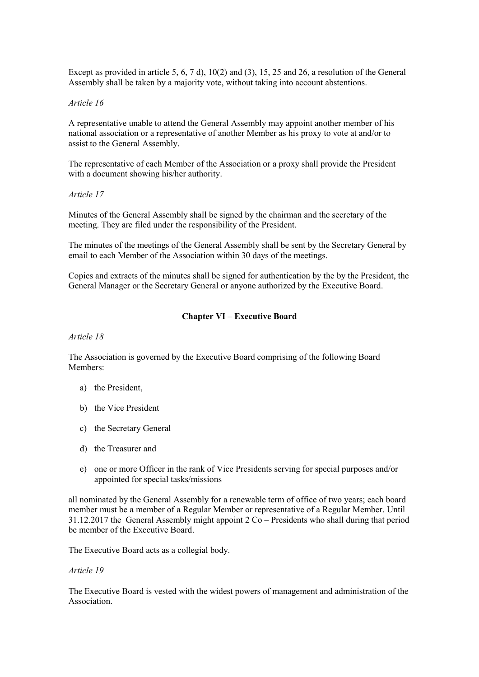Except as provided in article 5,  $(6, 7, 7, 1)$ ,  $(10(2)$  and  $(3), 15, 25, 12, 26)$  and 26, a resolution of the General Assembly shall be taken by a majority vote, without taking into account abstentions.

#### *Article 16*

A representative unable to attend the General Assembly may appoint another member of his national association or a representative of another Member as his proxy to vote at and/or to assist to the General Assembly.

The representative of each Member of the Association or a proxy shall provide the President with a document showing his/her authority.

#### *Article 17*

Minutes of the General Assembly shall be signed by the chairman and the secretary of the meeting. They are filed under the responsibility of the President.

The minutes of the meetings of the General Assembly shall be sent by the Secretary General by email to each Member of the Association within 30 days of the meetings.

Copies and extracts of the minutes shall be signed for authentication by the by the President, the General Manager or the Secretary General or anyone authorized by the Executive Board.

### **Chapter VI – Executive Board**

*Article 18*

The Association is governed by the Executive Board comprising of the following Board Members:

- a) the President,
- b) the Vice President
- c) the Secretary General
- d) the Treasurer and
- e) one or more Officer in the rank of Vice Presidents serving for special purposes and/or appointed for special tasks/missions

all nominated by the General Assembly for a renewable term of office of two years; each board member must be a member of a Regular Member or representative of a Regular Member. Until 31.12.2017 the General Assembly might appoint 2 Co – Presidents who shall during that period be member of the Executive Board.

The Executive Board acts as a collegial body.

#### *Article 19*

The Executive Board is vested with the widest powers of management and administration of the **Association**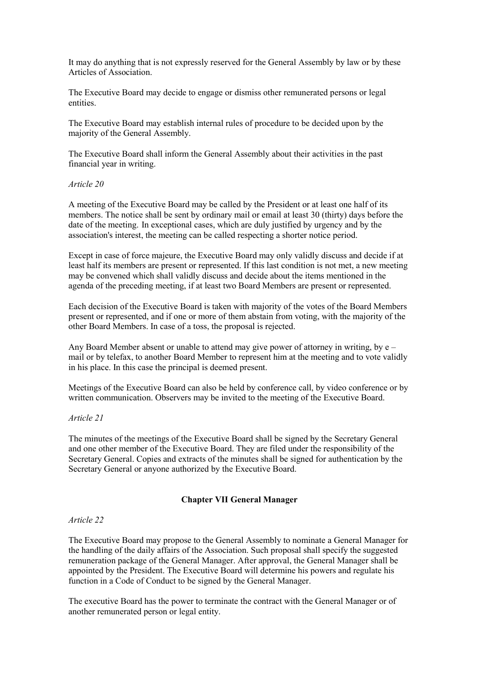It may do anything that is not expressly reserved for the General Assembly by law or by these Articles of Association.

The Executive Board may decide to engage or dismiss other remunerated persons or legal entities.

The Executive Board may establish internal rules of procedure to be decided upon by the majority of the General Assembly.

The Executive Board shall inform the General Assembly about their activities in the past financial year in writing.

#### *Article 20*

A meeting of the Executive Board may be called by the President or at least one half of its members. The notice shall be sent by ordinary mail or email at least 30 (thirty) days before the date of the meeting. In exceptional cases, which are duly justified by urgency and by the association's interest, the meeting can be called respecting a shorter notice period.

Except in case of force majeure, the Executive Board may only validly discuss and decide if at least half its members are present or represented. If this last condition is not met, a new meeting may be convened which shall validly discuss and decide about the items mentioned in the agenda of the preceding meeting, if at least two Board Members are present or represented.

Each decision of the Executive Board is taken with majority of the votes of the Board Members present or represented, and if one or more of them abstain from voting, with the majority of the other Board Members. In case of a toss, the proposal is rejected.

Any Board Member absent or unable to attend may give power of attorney in writing, by e – mail or by telefax, to another Board Member to represent him at the meeting and to vote validly in his place. In this case the principal is deemed present.

Meetings of the Executive Board can also be held by conference call, by video conference or by written communication. Observers may be invited to the meeting of the Executive Board.

### *Article 21*

The minutes of the meetings of the Executive Board shall be signed by the Secretary General and one other member of the Executive Board. They are filed under the responsibility of the Secretary General. Copies and extracts of the minutes shall be signed for authentication by the Secretary General or anyone authorized by the Executive Board.

### **Chapter VII General Manager**

#### *Article 22*

The Executive Board may propose to the General Assembly to nominate a General Manager for the handling of the daily affairs of the Association. Such proposal shall specify the suggested remuneration package of the General Manager. After approval, the General Manager shall be appointed by the President. The Executive Board will determine his powers and regulate his function in a Code of Conduct to be signed by the General Manager.

The executive Board has the power to terminate the contract with the General Manager or of another remunerated person or legal entity.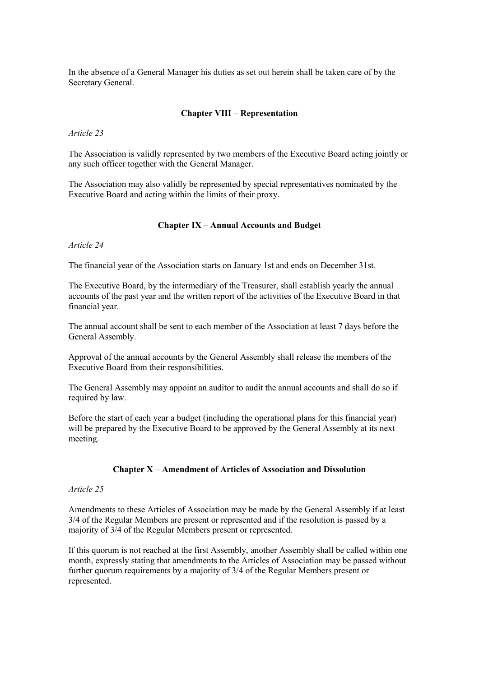In the absence of a General Manager his duties as set out herein shall be taken care of by the Secretary General.

### **Chapter VIII – Representation**

*Article 23*

The Association is validly represented by two members of the Executive Board acting jointly or any such officer together with the General Manager.

The Association may also validly be represented by special representatives nominated by the Executive Board and acting within the limits of their proxy.

### **Chapter IX – Annual Accounts and Budget**

*Article 24*

The financial year of the Association starts on January 1st and ends on December 31st.

The Executive Board, by the intermediary of the Treasurer, shall establish yearly the annual accounts of the past year and the written report of the activities of the Executive Board in that financial year.

The annual account shall be sent to each member of the Association at least 7 days before the General Assembly.

Approval of the annual accounts by the General Assembly shall release the members of the Executive Board from their responsibilities.

The General Assembly may appoint an auditor to audit the annual accounts and shall do so if required by law.

Before the start of each year a budget (including the operational plans for this financial year) will be prepared by the Executive Board to be approved by the General Assembly at its next meeting.

### **Chapter X – Amendment of Articles of Association and Dissolution**

#### *Article 25*

Amendments to these Articles of Association may be made by the General Assembly if at least 3/4 of the Regular Members are present or represented and if the resolution is passed by a majority of 3/4 of the Regular Members present or represented.

If this quorum is not reached at the first Assembly, another Assembly shall be called within one month, expressly stating that amendments to the Articles of Association may be passed without further quorum requirements by a majority of 3/4 of the Regular Members present or represented.